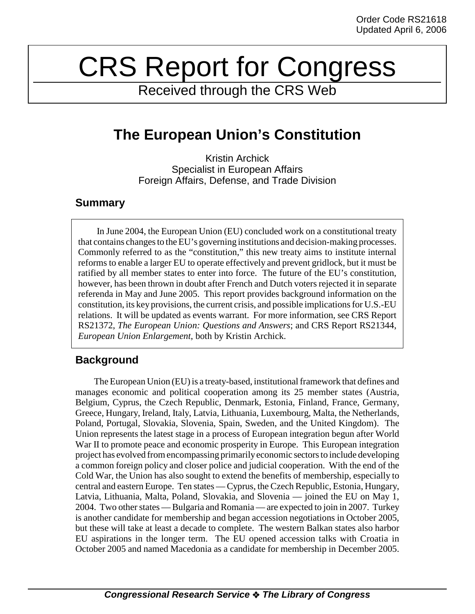# CRS Report for Congress

Received through the CRS Web

## **The European Union's Constitution**

Kristin Archick Specialist in European Affairs Foreign Affairs, Defense, and Trade Division

## **Summary**

In June 2004, the European Union (EU) concluded work on a constitutional treaty that contains changes to the EU's governing institutions and decision-making processes. Commonly referred to as the "constitution," this new treaty aims to institute internal reforms to enable a larger EU to operate effectively and prevent gridlock, but it must be ratified by all member states to enter into force. The future of the EU's constitution, however, has been thrown in doubt after French and Dutch voters rejected it in separate referenda in May and June 2005. This report provides background information on the constitution, its key provisions, the current crisis, and possible implications for U.S.-EU relations. It will be updated as events warrant. For more information, see CRS Report RS21372, *The European Union: Questions and Answers*; and CRS Report RS21344, *European Union Enlargement*, both by Kristin Archick.

## **Background**

The European Union (EU) is a treaty-based, institutional framework that defines and manages economic and political cooperation among its 25 member states (Austria, Belgium, Cyprus, the Czech Republic, Denmark, Estonia, Finland, France, Germany, Greece, Hungary, Ireland, Italy, Latvia, Lithuania, Luxembourg, Malta, the Netherlands, Poland, Portugal, Slovakia, Slovenia, Spain, Sweden, and the United Kingdom). The Union represents the latest stage in a process of European integration begun after World War II to promote peace and economic prosperity in Europe. This European integration project has evolved from encompassing primarily economic sectors to include developing a common foreign policy and closer police and judicial cooperation. With the end of the Cold War, the Union has also sought to extend the benefits of membership, especially to central and eastern Europe. Ten states — Cyprus, the Czech Republic, Estonia, Hungary, Latvia, Lithuania, Malta, Poland, Slovakia, and Slovenia — joined the EU on May 1, 2004. Two other states — Bulgaria and Romania — are expected to join in 2007. Turkey is another candidate for membership and began accession negotiations in October 2005, but these will take at least a decade to complete. The western Balkan states also harbor EU aspirations in the longer term. The EU opened accession talks with Croatia in October 2005 and named Macedonia as a candidate for membership in December 2005.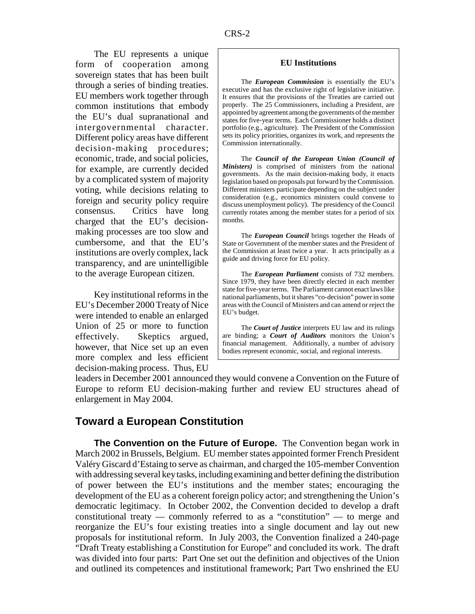The EU represents a unique form of cooperation among sovereign states that has been built through a series of binding treaties. EU members work together through common institutions that embody the EU's dual supranational and intergovernmental character. Different policy areas have different decision-making procedures; economic, trade, and social policies, for example, are currently decided by a complicated system of majority voting, while decisions relating to foreign and security policy require consensus. Critics have long charged that the EU's decisionmaking processes are too slow and cumbersome, and that the EU's institutions are overly complex, lack transparency, and are unintelligible to the average European citizen.

Key institutional reforms in the EU's December 2000 Treaty of Nice were intended to enable an enlarged Union of 25 or more to function effectively. Skeptics argued, however, that Nice set up an even more complex and less efficient decision-making process. Thus, EU

#### **EU Institutions**

The *European Commission* is essentially the EU's executive and has the exclusive right of legislative initiative. It ensures that the provisions of the Treaties are carried out properly. The 25 Commissioners, including a President, are appointed by agreement among the governments of the member states for five-year terms. Each Commissioner holds a distinct portfolio (e.g., agriculture). The President of the Commission sets its policy priorities, organizes its work, and represents the Commission internationally.

The *Council of the European Union (Council of Ministers)* is comprised of ministers from the national governments. As the main decision-making body, it enacts legislation based on proposals put forward by the Commission. Different ministers participate depending on the subject under consideration (e.g., economics ministers could convene to discuss unemployment policy). The presidency of the Council currently rotates among the member states for a period of six months.

The *European Council* brings together the Heads of State or Government of the member states and the President of the Commission at least twice a year. It acts principally as a guide and driving force for EU policy.

The *European Parliament* consists of 732 members. Since 1979, they have been directly elected in each member state for five-year terms. The Parliament cannot enact laws like national parliaments, but it shares "co-decision" power in some areas with the Council of Ministers and can amend or reject the EU's budget.

The *Court of Justice* interprets EU law and its rulings are binding; a *Court of Auditors* monitors the Union's financial management. Additionally, a number of advisory bodies represent economic, social, and regional interests.

leaders in December 2001 announced they would convene a Convention on the Future of Europe to reform EU decision-making further and review EU structures ahead of enlargement in May 2004.

## **Toward a European Constitution**

**The Convention on the Future of Europe.** The Convention began work in March 2002 in Brussels, Belgium. EU member states appointed former French President Valéry Giscard d'Estaing to serve as chairman, and charged the 105-member Convention with addressing several key tasks, including examining and better defining the distribution of power between the EU's institutions and the member states; encouraging the development of the EU as a coherent foreign policy actor; and strengthening the Union's democratic legitimacy. In October 2002, the Convention decided to develop a draft constitutional treaty — commonly referred to as a "constitution" — to merge and reorganize the EU's four existing treaties into a single document and lay out new proposals for institutional reform. In July 2003, the Convention finalized a 240-page "Draft Treaty establishing a Constitution for Europe" and concluded its work. The draft was divided into four parts: Part One set out the definition and objectives of the Union and outlined its competences and institutional framework; Part Two enshrined the EU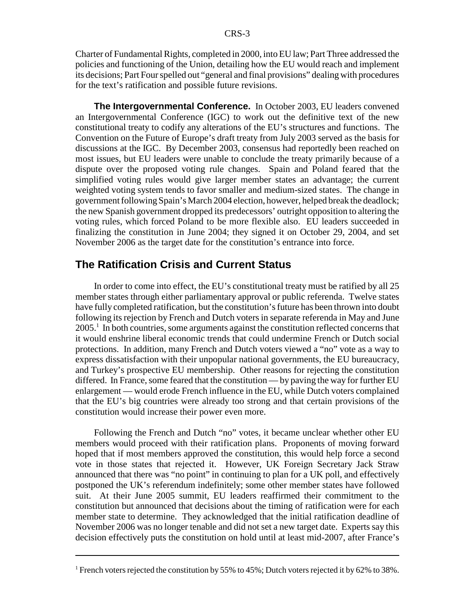Charter of Fundamental Rights, completed in 2000, into EU law; Part Three addressed the policies and functioning of the Union, detailing how the EU would reach and implement its decisions; Part Four spelled out "general and final provisions" dealing with procedures for the text's ratification and possible future revisions.

**The Intergovernmental Conference.** In October 2003, EU leaders convened an Intergovernmental Conference (IGC) to work out the definitive text of the new constitutional treaty to codify any alterations of the EU's structures and functions. The Convention on the Future of Europe's draft treaty from July 2003 served as the basis for discussions at the IGC. By December 2003, consensus had reportedly been reached on most issues, but EU leaders were unable to conclude the treaty primarily because of a dispute over the proposed voting rule changes. Spain and Poland feared that the simplified voting rules would give larger member states an advantage; the current weighted voting system tends to favor smaller and medium-sized states. The change in government following Spain's March 2004 election, however, helped break the deadlock; the new Spanish government dropped its predecessors' outright opposition to altering the voting rules, which forced Poland to be more flexible also. EU leaders succeeded in finalizing the constitution in June 2004; they signed it on October 29, 2004, and set November 2006 as the target date for the constitution's entrance into force.

## **The Ratification Crisis and Current Status**

In order to come into effect, the EU's constitutional treaty must be ratified by all 25 member states through either parliamentary approval or public referenda. Twelve states have fully completed ratification, but the constitution's future has been thrown into doubt following its rejection by French and Dutch voters in separate referenda in May and June 2005.<sup>1</sup> In both countries, some arguments against the constitution reflected concerns that it would enshrine liberal economic trends that could undermine French or Dutch social protections. In addition, many French and Dutch voters viewed a "no" vote as a way to express dissatisfaction with their unpopular national governments, the EU bureaucracy, and Turkey's prospective EU membership. Other reasons for rejecting the constitution differed. In France, some feared that the constitution — by paving the way for further EU enlargement — would erode French influence in the EU, while Dutch voters complained that the EU's big countries were already too strong and that certain provisions of the constitution would increase their power even more.

Following the French and Dutch "no" votes, it became unclear whether other EU members would proceed with their ratification plans. Proponents of moving forward hoped that if most members approved the constitution, this would help force a second vote in those states that rejected it. However, UK Foreign Secretary Jack Straw announced that there was "no point" in continuing to plan for a UK poll, and effectively postponed the UK's referendum indefinitely; some other member states have followed suit. At their June 2005 summit, EU leaders reaffirmed their commitment to the constitution but announced that decisions about the timing of ratification were for each member state to determine. They acknowledged that the initial ratification deadline of November 2006 was no longer tenable and did not set a new target date. Experts say this decision effectively puts the constitution on hold until at least mid-2007, after France's

<sup>&</sup>lt;sup>1</sup> French voters rejected the constitution by 55% to 45%; Dutch voters rejected it by 62% to 38%.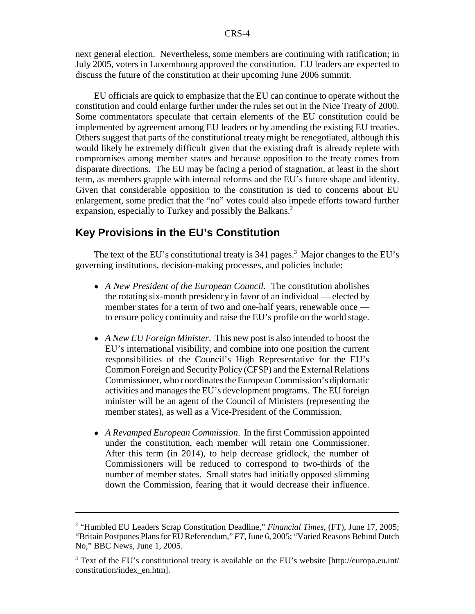next general election. Nevertheless, some members are continuing with ratification; in July 2005, voters in Luxembourg approved the constitution. EU leaders are expected to discuss the future of the constitution at their upcoming June 2006 summit.

EU officials are quick to emphasize that the EU can continue to operate without the constitution and could enlarge further under the rules set out in the Nice Treaty of 2000. Some commentators speculate that certain elements of the EU constitution could be implemented by agreement among EU leaders or by amending the existing EU treaties. Others suggest that parts of the constitutional treaty might be renegotiated, although this would likely be extremely difficult given that the existing draft is already replete with compromises among member states and because opposition to the treaty comes from disparate directions. The EU may be facing a period of stagnation, at least in the short term, as members grapple with internal reforms and the EU's future shape and identity. Given that considerable opposition to the constitution is tied to concerns about EU enlargement, some predict that the "no" votes could also impede efforts toward further expansion, especially to Turkey and possibly the Balkans.<sup>2</sup>

## **Key Provisions in the EU's Constitution**

The text of the EU's constitutional treaty is 341 pages.<sup>3</sup> Major changes to the EU's governing institutions, decision-making processes, and policies include:

- ! *A New President of the European Council*. The constitution abolishes the rotating six-month presidency in favor of an individual — elected by member states for a term of two and one-half years, renewable once to ensure policy continuity and raise the EU's profile on the world stage.
- ! *A New EU Foreign Minister*. This new post is also intended to boost the EU's international visibility, and combine into one position the current responsibilities of the Council's High Representative for the EU's Common Foreign and Security Policy (CFSP) and the External Relations Commissioner, who coordinates the European Commission's diplomatic activities and manages the EU's development programs. The EU foreign minister will be an agent of the Council of Ministers (representing the member states), as well as a Vice-President of the Commission.
- ! *A Revamped European Commission*. In the first Commission appointed under the constitution, each member will retain one Commissioner. After this term (in 2014), to help decrease gridlock, the number of Commissioners will be reduced to correspond to two-thirds of the number of member states. Small states had initially opposed slimming down the Commission, fearing that it would decrease their influence.

<sup>&</sup>lt;sup>2</sup> "Humbled EU Leaders Scrap Constitution Deadline," *Financial Times*, (FT), June 17, 2005; "Britain Postpones Plans for EU Referendum," *FT*, June 6, 2005; "Varied Reasons Behind Dutch No," BBC News, June 1, 2005.

<sup>&</sup>lt;sup>3</sup> Text of the EU's constitutional treaty is available on the EU's website [http://europa.eu.int/ constitution/index\_en.htm].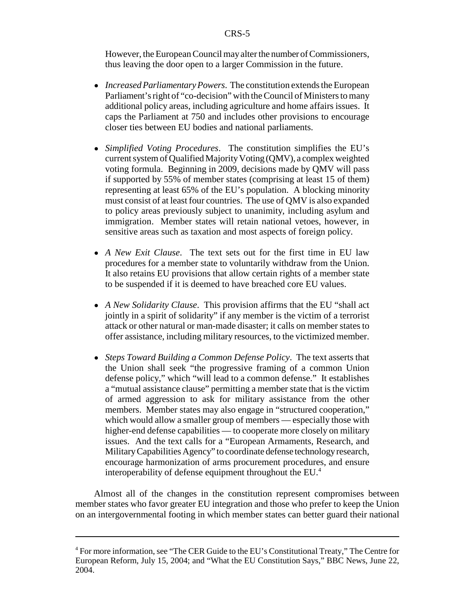However, the European Council may alter the number of Commissioners, thus leaving the door open to a larger Commission in the future.

- ! *Increased Parliamentary Powers*. The constitution extends the European Parliament's right of "co-decision" with the Council of Ministers to many additional policy areas, including agriculture and home affairs issues. It caps the Parliament at 750 and includes other provisions to encourage closer ties between EU bodies and national parliaments.
- ! *Simplified Voting Procedures*. The constitution simplifies the EU's current system of Qualified Majority Voting (QMV), a complex weighted voting formula. Beginning in 2009, decisions made by QMV will pass if supported by 55% of member states (comprising at least 15 of them) representing at least 65% of the EU's population. A blocking minority must consist of at least four countries. The use of QMV is also expanded to policy areas previously subject to unanimity, including asylum and immigration. Member states will retain national vetoes, however, in sensitive areas such as taxation and most aspects of foreign policy.
- ! *A New Exit Clause*. The text sets out for the first time in EU law procedures for a member state to voluntarily withdraw from the Union. It also retains EU provisions that allow certain rights of a member state to be suspended if it is deemed to have breached core EU values.
- ! *A New Solidarity Clause*. This provision affirms that the EU "shall act jointly in a spirit of solidarity" if any member is the victim of a terrorist attack or other natural or man-made disaster; it calls on member states to offer assistance, including military resources, to the victimized member.
- ! *Steps Toward Building a Common Defense Policy*. The text asserts that the Union shall seek "the progressive framing of a common Union defense policy," which "will lead to a common defense." It establishes a "mutual assistance clause" permitting a member state that is the victim of armed aggression to ask for military assistance from the other members. Member states may also engage in "structured cooperation," which would allow a smaller group of members — especially those with higher-end defense capabilities — to cooperate more closely on military issues. And the text calls for a "European Armaments, Research, and Military Capabilities Agency" to coordinate defense technology research, encourage harmonization of arms procurement procedures, and ensure interoperability of defense equipment throughout the EU.4

Almost all of the changes in the constitution represent compromises between member states who favor greater EU integration and those who prefer to keep the Union on an intergovernmental footing in which member states can better guard their national

<sup>&</sup>lt;sup>4</sup> For more information, see "The CER Guide to the EU's Constitutional Treaty," The Centre for European Reform, July 15, 2004; and "What the EU Constitution Says," BBC News, June 22, 2004.